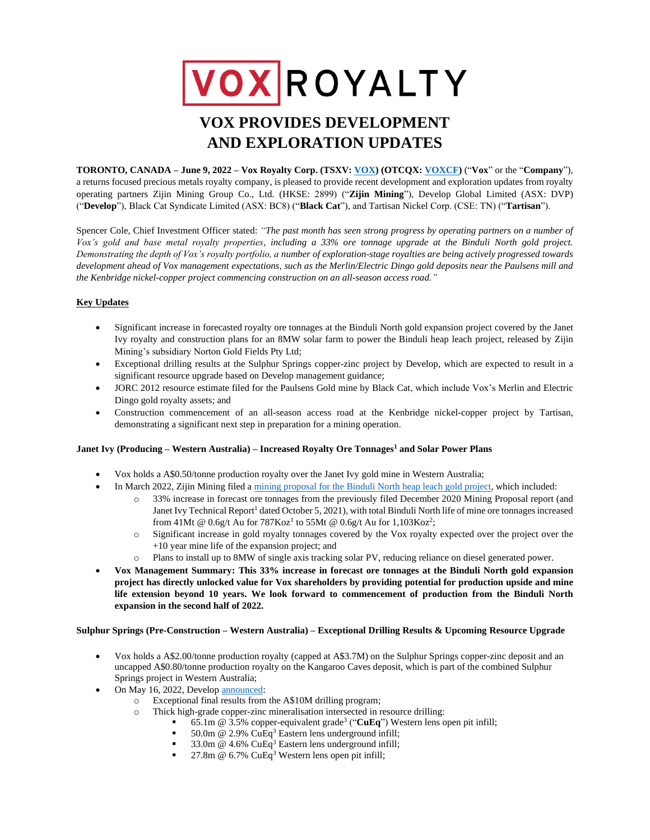# VOXROYALTY

# **VOX PROVIDES DEVELOPMENT AND EXPLORATION UPDATES**

**TORONTO, CANADA – June 9, 2022 – Vox Royalty Corp. (TSXV: [VOX\)](https://money.tmx.com/en/quote/VOX) (OTCQX[: VOXC](https://money.tmx.com/en/quote/VOX)F)** ("**Vox**" or the "**Company**"), a returns focused precious metals royalty company, is pleased to provide recent development and exploration updates from royalty operating partners Zijin Mining Group Co., Ltd. (HKSE: 2899) ("**Zijin Mining**"), Develop Global Limited (ASX: DVP) ("**Develop**"), Black Cat Syndicate Limited (ASX: BC8) ("**Black Cat**"), and Tartisan Nickel Corp. (CSE: TN) ("**Tartisan**").

Spencer Cole, Chief Investment Officer stated: *"The past month has seen strong progress by operating partners on a number of Vox's gold and base metal royalty properties, including a 33% ore tonnage upgrade at the Binduli North gold project. Demonstrating the depth of Vox's royalty portfolio, a number of exploration-stage royalties are being actively progressed towards development ahead of Vox management expectations, such as the Merlin/Electric Dingo gold deposits near the Paulsens mill and the Kenbridge nickel-copper project commencing construction on an all-season access road."*

# **Key Updates**

- Significant increase in forecasted royalty ore tonnages at the Binduli North gold expansion project covered by the Janet Ivy royalty and construction plans for an 8MW solar farm to power the Binduli heap leach project, released by Zijin Mining's subsidiary Norton Gold Fields Pty Ltd;
- Exceptional drilling results at the Sulphur Springs copper-zinc project by Develop, which are expected to result in a significant resource upgrade based on Develop management guidance;
- JORC 2012 resource estimate filed for the Paulsens Gold mine by Black Cat, which include Vox's Merlin and Electric Dingo gold royalty assets; and
- Construction commencement of an all-season access road at the Kenbridge nickel-copper project by Tartisan, demonstrating a significant next step in preparation for a mining operation.

# **Janet Ivy (Producing – Western Australia) – Increased Royalty Ore Tonnages<sup>1</sup> and Solar Power Plans**

- Vox holds a A\$0.50/tonne production royalty over the Janet Ivy gold mine in Western Australia;
- In March 2022, Zijin Mining filed [a mining proposal for the Binduli North](https://geodocs.dmirs.wa.gov.au/Web/documentlist/9/EARS_regi_id/101262) heap leach gold project, which included:
	- o 33% increase in forecast ore tonnages from the previously filed December 2020 Mining Proposal report (and Janet Ivy Technical Report<sup>1</sup> dated October 5, 2021), with total Binduli North life of mine ore tonnages increased from 41Mt @ 0.6g/t Au for 787Koz<sup>1</sup> to 55Mt @ 0.6g/t Au for 1,103Koz<sup>2</sup>;
	- o Significant increase in gold royalty tonnages covered by the Vox royalty expected over the project over the +10 year mine life of the expansion project; and
	- o Plans to install up to 8MW of single axis tracking solar PV, reducing reliance on diesel generated power.
- **Vox Management Summary: This 33% increase in forecast ore tonnages at the Binduli North gold expansion project has directly unlocked value for Vox shareholders by providing potential for production upside and mine life extension beyond 10 years. We look forward to commencement of production from the Binduli North expansion in the second half of 2022.**

# **Sulphur Springs (Pre-Construction – Western Australia) – Exceptional Drilling Results & Upcoming Resource Upgrade**

- Vox holds a A\$2.00/tonne production royalty (capped at A\$3.7M) on the Sulphur Springs copper-zinc deposit and an uncapped A\$0.80/tonne production royalty on the Kangaroo Caves deposit, which is part of the combined Sulphur Springs project in Western Australia;
- On May 16, 2022, Develo[p announced:](https://wcsecure.weblink.com.au/pdf/DVP/02521680.pdf)
	- o Exceptional final results from the A\$10M drilling program;
		- Thick high-grade copper-zinc mineralisation intersected in resource drilling:
			- 65.1m @ 3.5% copper-equivalent grade<sup>3</sup> ("**CuEq**") Western lens open pit infill;
			- 50.0m  $@$  2.9% CuEq<sup>3</sup> Eastern lens underground infill;
			- 33.0m  $\omega$  4.6% CuEq<sup>3</sup> Eastern lens underground infill;
			- 27.8m  $\omega$  6.7% CuEq<sup>3</sup> Western lens open pit infill;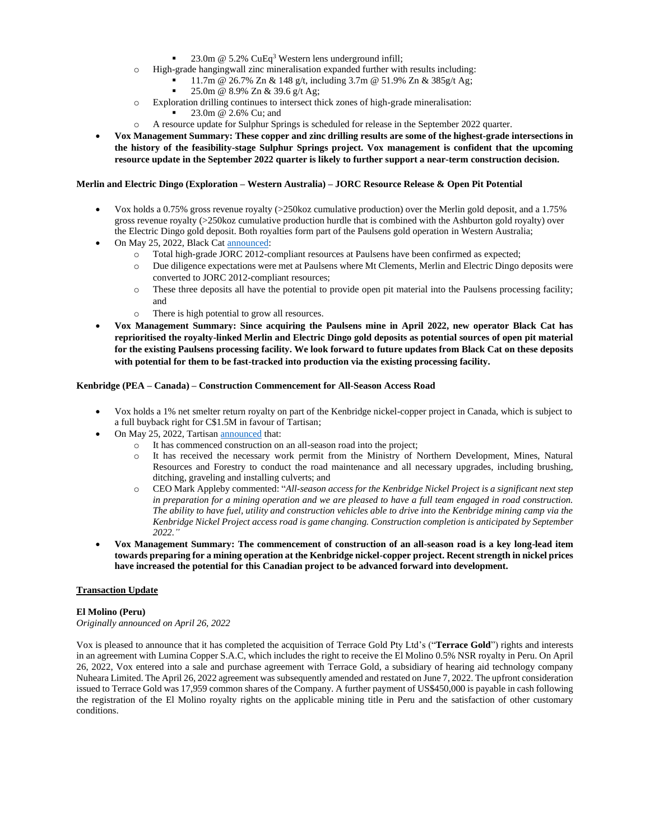- 23.0m  $@$  5.2% CuEq<sup>3</sup> Western lens underground infill;
- o High-grade hangingwall zinc mineralisation expanded further with results including:
	- 11.7m @ 26.7% Zn & 148 g/t, including 3.7m @ 51.9% Zn & 385g/t Ag;
		- 25.0m @ 8.9% Zn & 39.6 g/t Ag;
- o Exploration drilling continues to intersect thick zones of high-grade mineralisation: 23.0m @ 2.6% Cu; and
- o A resource update for Sulphur Springs is scheduled for release in the September 2022 quarter.
- **Vox Management Summary: These copper and zinc drilling results are some of the highest-grade intersections in the history of the feasibility-stage Sulphur Springs project. Vox management is confident that the upcoming resource update in the September 2022 quarter is likely to further support a near-term construction decision.**

# **Merlin and Electric Dingo (Exploration – Western Australia) – JORC Resource Release & Open Pit Potential**

- Vox holds a 0.75% gross revenue royalty (>250koz cumulative production) over the Merlin gold deposit, and a 1.75% gross revenue royalty (>250koz cumulative production hurdle that is combined with the Ashburton gold royalty) over the Electric Dingo gold deposit. Both royalties form part of the Paulsens gold operation in Western Australia;
- On May 25, 2022, Black Cat [announced:](https://www.marketscreener.com/quote/stock/BLACK-CAT-SYNDICATE-LIMIT-39040717/news/Black-Cat-Syndicate-Coyote-Paulsens-High-Grade-JORC-Resources-Confirmed-40534716/)
	- o Total high-grade JORC 2012-compliant resources at Paulsens have been confirmed as expected;
	- o Due diligence expectations were met at Paulsens where Mt Clements, Merlin and Electric Dingo deposits were converted to JORC 2012-compliant resources;
	- o These three deposits all have the potential to provide open pit material into the Paulsens processing facility; and
	- o There is high potential to grow all resources.
- **Vox Management Summary: Since acquiring the Paulsens mine in April 2022, new operator Black Cat has reprioritised the royalty-linked Merlin and Electric Dingo gold deposits as potential sources of open pit material for the existing Paulsens processing facility. We look forward to future updates from Black Cat on these deposits with potential for them to be fast-tracked into production via the existing processing facility.**

## **Kenbridge (PEA – Canada) – Construction Commencement for All-Season Access Road**

- Vox holds a 1% net smelter return royalty on part of the Kenbridge nickel-copper project in Canada, which is subject to a full buyback right for C\$1.5M in favour of Tartisan;
- On May 25, 2022, Tartisa[n announced](https://www.juniorminingnetwork.com/junior-miner-news/press-releases/1443-cse/tn/121870-tartisan-nickel-corp-commences-construction-on-all-season-access-road-for-the-kenbridge-nickel-project-kenora-mining-district-northwestern-ontario.html) that:
	- o It has commenced construction on an all-season road into the project;
		- It has received the necessary work permit from the Ministry of Northern Development, Mines, Natural Resources and Forestry to conduct the road maintenance and all necessary upgrades, including brushing, ditching, graveling and installing culverts; and
		- o CEO Mark Appleby commented: "*All-season access for the Kenbridge Nickel Project is a significant next step in preparation for a mining operation and we are pleased to have a full team engaged in road construction. The ability to have fuel, utility and construction vehicles able to drive into the Kenbridge mining camp via the Kenbridge Nickel Project access road is game changing. Construction completion is anticipated by September 2022."*
- **Vox Management Summary: The commencement of construction of an all-season road is a key long-lead item towards preparing for a mining operation at the Kenbridge nickel-copper project. Recent strength in nickel prices have increased the potential for this Canadian project to be advanced forward into development.**

# **Transaction Update**

## **El Molino (Peru)**

*Originally announced on April 26, 2022*

Vox is pleased to announce that it has completed the acquisition of Terrace Gold Pty Ltd's ("**Terrace Gold**") rights and interests in an agreement with Lumina Copper S.A.C, which includes the right to receive the El Molino 0.5% NSR royalty in Peru. On April 26, 2022, Vox entered into a sale and purchase agreement with Terrace Gold, a subsidiary of hearing aid technology company Nuheara Limited. The April 26, 2022 agreement was subsequently amended and restated on June 7, 2022. The upfront consideration issued to Terrace Gold was 17,959 common shares of the Company. A further payment of US\$450,000 is payable in cash following the registration of the El Molino royalty rights on the applicable mining title in Peru and the satisfaction of other customary conditions.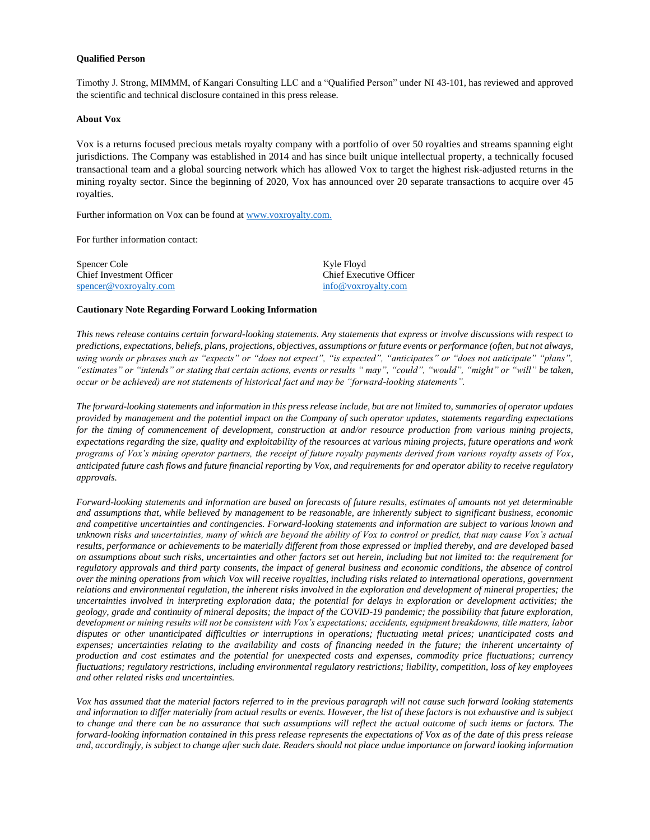## **Qualified Person**

Timothy J. Strong, MIMMM, of Kangari Consulting LLC and a "Qualified Person" under NI 43-101, has reviewed and approved the scientific and technical disclosure contained in this press release.

#### **About Vox**

Vox is a returns focused precious metals royalty company with a portfolio of over 50 royalties and streams spanning eight jurisdictions. The Company was established in 2014 and has since built unique intellectual property, a technically focused transactional team and a global sourcing network which has allowed Vox to target the highest risk-adjusted returns in the mining royalty sector. Since the beginning of 2020, Vox has announced over 20 separate transactions to acquire over 45 royalties.

Further information on Vox can be found at [www.voxroyalty.com.](http://www.voxroyalty.com/) 

For further information contact:

| Spencer Cole             | Kyle Floyd              |
|--------------------------|-------------------------|
| Chief Investment Officer | Chief Executive Officer |
| spencer@voxroyalty.com   | info@voxrowaltv.com     |

#### **Cautionary Note Regarding Forward Looking Information**

*This news release contains certain forward-looking statements. Any statements that express or involve discussions with respect to predictions, expectations, beliefs, plans, projections, objectives, assumptions or future events or performance (often, but not always, using words or phrases such as "expects" or "does not expect", "is expected", "anticipates" or "does not anticipate" "plans", "estimates" or "intends" or stating that certain actions, events or results " may", "could", "would", "might" or "will" be taken, occur or be achieved) are not statements of historical fact and may be "forward-looking statements".* 

*The forward-looking statements and information in this press release include, but are not limited to, summaries of operator updates provided by management and the potential impact on the Company of such operator updates, statements regarding expectations for the timing of commencement of development, construction at and/or resource production from various mining projects, expectations regarding the size, quality and exploitability of the resources at various mining projects, future operations and work programs of Vox's mining operator partners, the receipt of future royalty payments derived from various royalty assets of Vox, anticipated future cash flows and future financial reporting by Vox, and requirements for and operator ability to receive regulatory approvals.* 

*Forward-looking statements and information are based on forecasts of future results, estimates of amounts not yet determinable and assumptions that, while believed by management to be reasonable, are inherently subject to significant business, economic and competitive uncertainties and contingencies. Forward-looking statements and information are subject to various known and unknown risks and uncertainties, many of which are beyond the ability of Vox to control or predict, that may cause Vox's actual results, performance or achievements to be materially different from those expressed or implied thereby, and are developed based on assumptions about such risks, uncertainties and other factors set out herein, including but not limited to: the requirement for regulatory approvals and third party consents, the impact of general business and economic conditions, the absence of control over the mining operations from which Vox will receive royalties, including risks related to international operations, government relations and environmental regulation, the inherent risks involved in the exploration and development of mineral properties; the uncertainties involved in interpreting exploration data; the potential for delays in exploration or development activities; the geology, grade and continuity of mineral deposits; the impact of the COVID-19 pandemic; the possibility that future exploration, development or mining results will not be consistent with Vox's expectations; accidents, equipment breakdowns, title matters, labor disputes or other unanticipated difficulties or interruptions in operations; fluctuating metal prices; unanticipated costs and expenses; uncertainties relating to the availability and costs of financing needed in the future; the inherent uncertainty of production and cost estimates and the potential for unexpected costs and expenses, commodity price fluctuations; currency fluctuations; regulatory restrictions, including environmental regulatory restrictions; liability, competition, loss of key employees and other related risks and uncertainties.* 

*Vox has assumed that the material factors referred to in the previous paragraph will not cause such forward looking statements and information to differ materially from actual results or events. However, the list of these factors is not exhaustive and is subject to change and there can be no assurance that such assumptions will reflect the actual outcome of such items or factors. The forward-looking information contained in this press release represents the expectations of Vox as of the date of this press release and, accordingly, is subject to change after such date. Readers should not place undue importance on forward looking information*